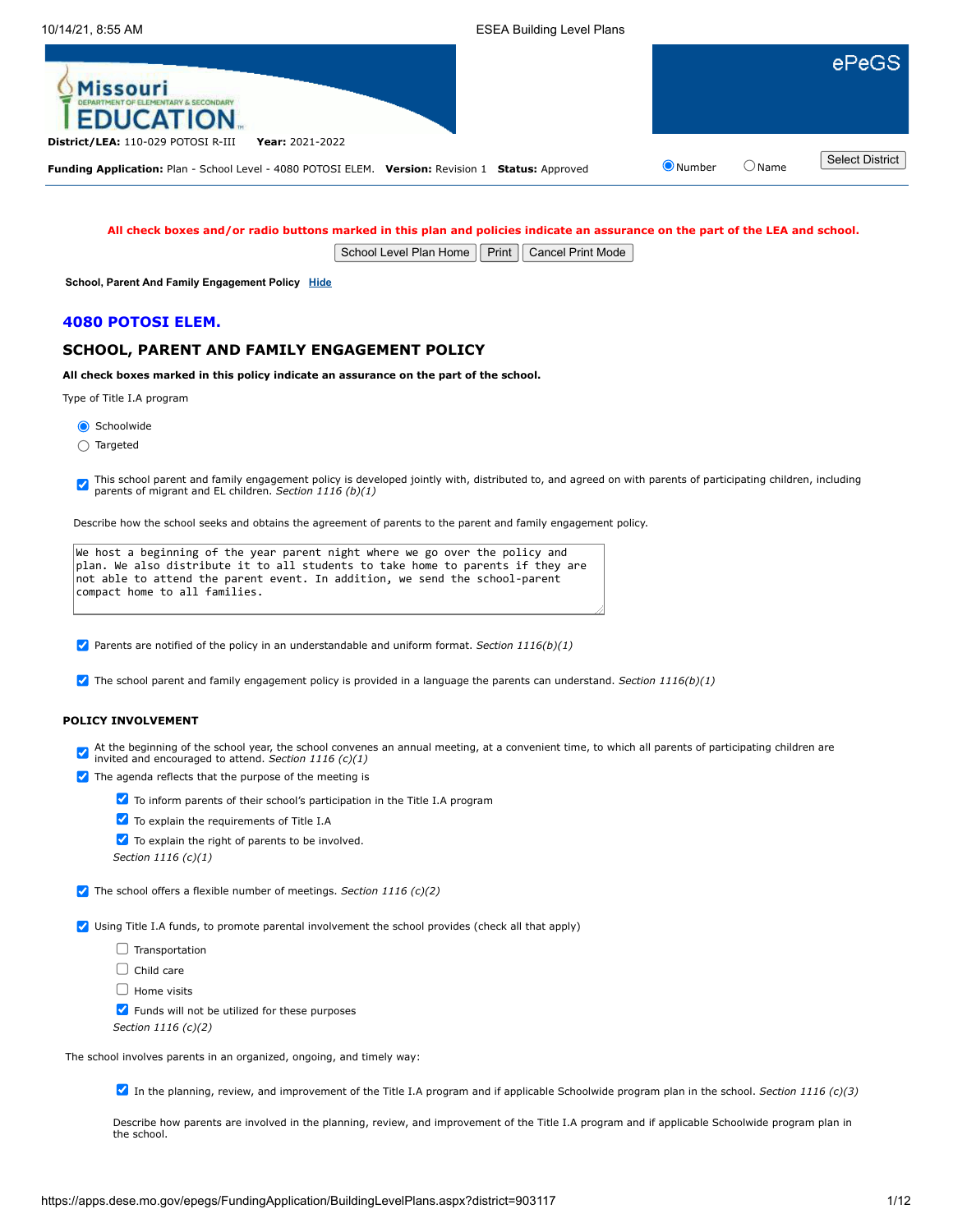

**All check boxes and/or radio buttons marked in this plan and policies indicate an assurance on the part of the LEA and school.**

School Level Plan Home | Print | Cancel Print Mode

**School, Parent And Family Engagement Policy [Hide](javascript:__doPostBack()**

### **4080 POTOSI ELEM.**

## **SCHOOL, PARENT AND FAMILY ENGAGEMENT POLICY**

**All check boxes marked in this policy indicate an assurance on the part of the school.**

Type of Title I.A program

Schoolwide

Targeted

This school parent and family engagement policy is developed jointly with, distributed to, and agreed on with parents of participating children, including parents of migrant and EL children. *Section 1116 (b)(1)*

Describe how the school seeks and obtains the agreement of parents to the parent and family engagement policy.

| We host a beginning of the year parent night where we go over the policy and    |  |
|---------------------------------------------------------------------------------|--|
| plan. We also distribute it to all students to take home to parents if they are |  |
| not able to attend the parent event. In addition, we send the school-parent     |  |
| compact home to all families.                                                   |  |
|                                                                                 |  |

Parents are notified of the policy in an understandable and uniform format. *Section 1116(b)(1)*

The school parent and family engagement policy is provided in a language the parents can understand. *Section 1116(b)(1)*

## **POLICY INVOLVEMENT**

At the beginning of the school year, the school convenes an annual meeting, at a convenient time, to which all parents of participating children are invited and encouraged to attend. *Section 1116 (c)(1)*

 $\blacktriangleright$  The agenda reflects that the purpose of the meeting is



To explain the requirements of Title I.A

To explain the right of parents to be involved.

*Section 1116 (c)(1)*

The school offers a flexible number of meetings. *Section 1116 (c)(2)*

Using Title I.A funds, to promote parental involvement the school provides (check all that apply)

 $\Box$  Transportation

 $\Box$  Child care

 $\Box$  Home visits

 $\blacktriangleright$  Funds will not be utilized for these purposes

*Section 1116 (c)(2)*

The school involves parents in an organized, ongoing, and timely way:

In the planning, review, and improvement of the Title I.A program and if applicable Schoolwide program plan in the school. *Section 1116 (c)(3)*

Describe how parents are involved in the planning, review, and improvement of the Title I.A program and if applicable Schoolwide program plan in the school.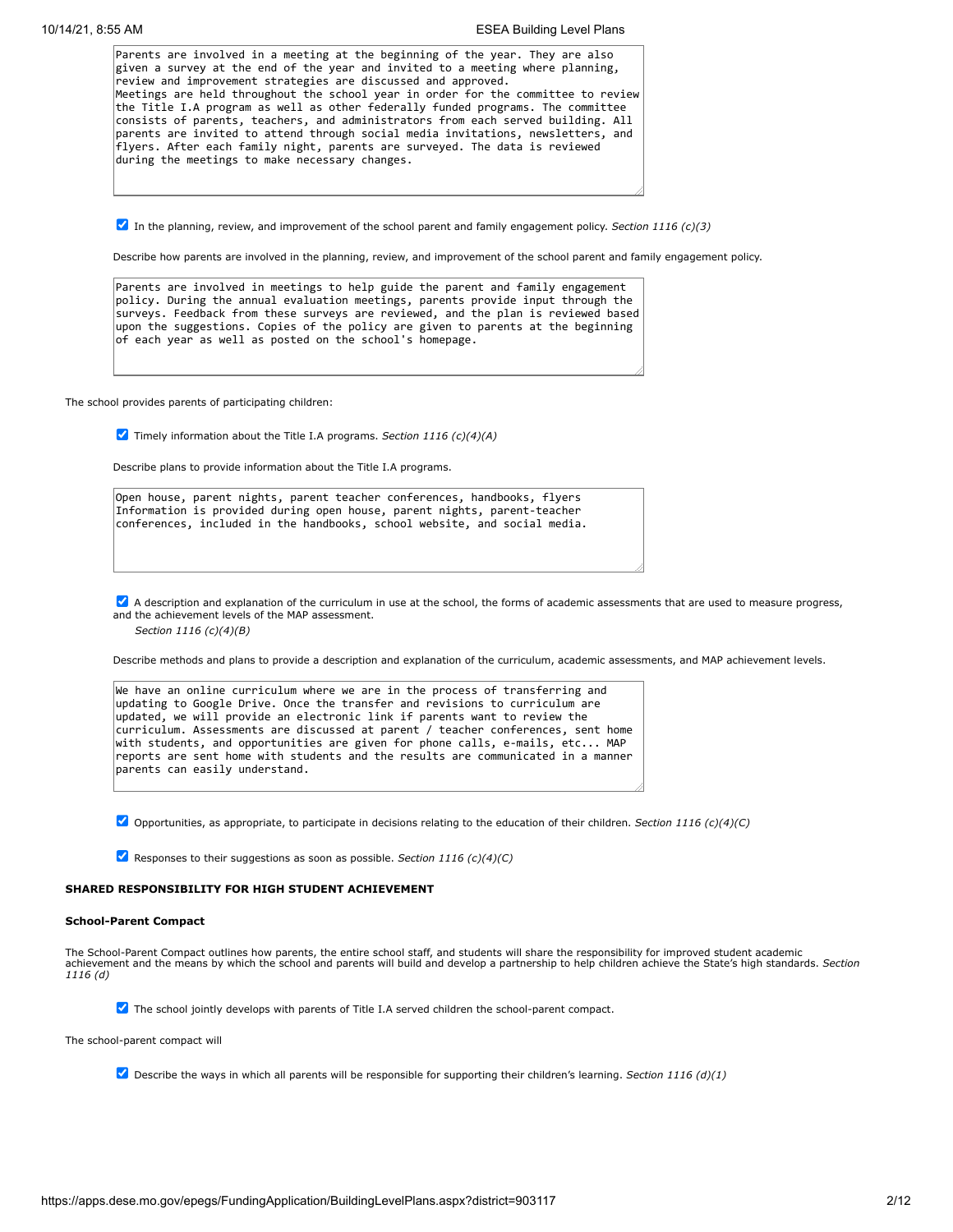| Parents are involved in a meeting at the beginning of the year. They are also                                                                                                                                                                                                                                                                                                            |
|------------------------------------------------------------------------------------------------------------------------------------------------------------------------------------------------------------------------------------------------------------------------------------------------------------------------------------------------------------------------------------------|
| given a survey at the end of the year and invited to a meeting where planning,                                                                                                                                                                                                                                                                                                           |
| review and improvement strategies are discussed and approved.                                                                                                                                                                                                                                                                                                                            |
| Meetings are held throughout the school year in order for the committee to review                                                                                                                                                                                                                                                                                                        |
| the Title I.A program as well as other federally funded programs. The committee<br>consists of parents, teachers, and administrators from each served building. All<br>parents are invited to attend through social media invitations, newsletters, and<br>flyers. After each family night, parents are surveyed. The data is reviewed<br>during the meetings to make necessary changes. |
|                                                                                                                                                                                                                                                                                                                                                                                          |

In the planning, review, and improvement of the school parent and family engagement policy. *Section 1116 (c)(3)*

Describe how parents are involved in the planning, review, and improvement of the school parent and family engagement policy.

Parents are involved in meetings to help guide the parent and family engagement policy. During the annual evaluation meetings, parents provide input through the surveys. Feedback from these surveys are reviewed, and the plan is reviewed based upon the suggestions. Copies of the policy are given to parents at the beginning of each year as well as posted on the school's homepage.

The school provides parents of participating children:

Timely information about the Title I.A programs. *Section 1116 (c)(4)(A)*

Describe plans to provide information about the Title I.A programs.

Open house, parent nights, parent teacher conferences, handbooks, flyers Information is provided during open house, parent nights, parent-teacher conferences, included in the handbooks, school website, and social media.

A description and explanation of the curriculum in use at the school, the forms of academic assessments that are used to measure progress, and the achievement levels of the MAP assessment.

*Section 1116 (c)(4)(B)*

Describe methods and plans to provide a description and explanation of the curriculum, academic assessments, and MAP achievement levels.

| We have an online curriculum where we are in the process of transferring and     |
|----------------------------------------------------------------------------------|
| updating to Google Drive. Once the transfer and revisions to curriculum are      |
| updated, we will provide an electronic link if parents want to review the        |
| curriculum. Assessments are discussed at parent / teacher conferences, sent home |
| with students, and opportunities are given for phone calls, e-mails, etc MAP     |
| reports are sent home with students and the results are communicated in a manner |
| parents can easily understand.                                                   |
|                                                                                  |

Opportunities, as appropriate, to participate in decisions relating to the education of their children. *Section 1116 (c)(4)(C)*

Responses to their suggestions as soon as possible. *Section 1116 (c)(4)(C)*

### **SHARED RESPONSIBILITY FOR HIGH STUDENT ACHIEVEMENT**

#### **School-Parent Compact**

The School-Parent Compact outlines how parents, the entire school staff, and students will share the responsibility for improved student academic achievement and the means by which the school and parents will build and develop a partnership to help children achieve the State's high standards. *Section 1116 (d)*

The school jointly develops with parents of Title I.A served children the school-parent compact.

The school-parent compact will

Describe the ways in which all parents will be responsible for supporting their children's learning. *Section 1116 (d)(1)*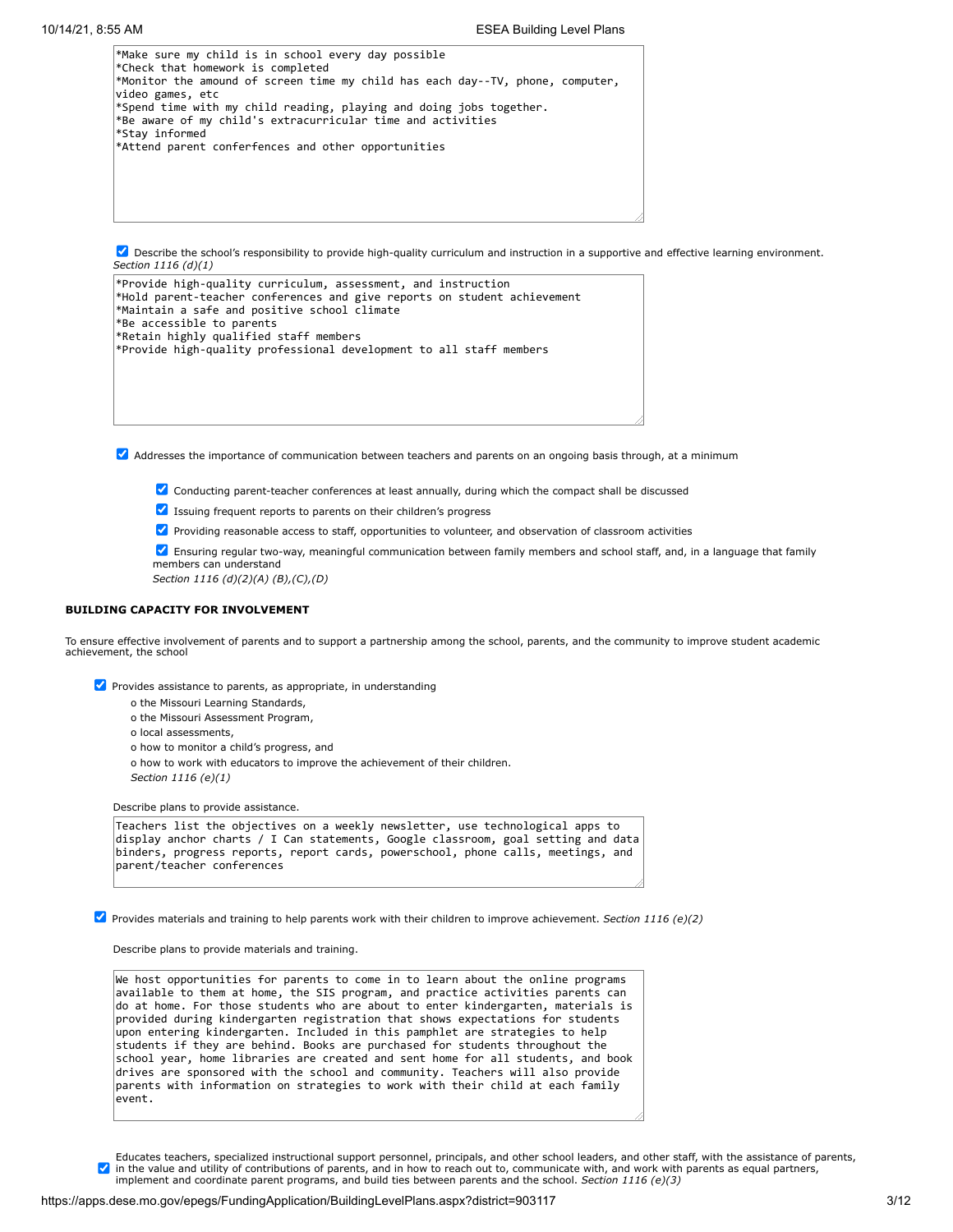\*Make sure my child is in school every day possible \*Check that homework is completed \*Monitor the amound of screen time my child has each day--TV, phone, computer, video games, etc \*Spend time with my child reading, playing and doing jobs together. \*Be aware of my child's extracurricular time and activities \*Stay informed \*Attend parent conferfences and other opportunities

Describe the school's responsibility to provide high-quality curriculum and instruction in a supportive and effective learning environment. *Section 1116 (d)(1)*

| *Provide high-quality curriculum, assessment, and instruction<br>*Hold parent-teacher conferences and give reports on student achievement<br>*Maintain a safe and positive school climate |  |
|-------------------------------------------------------------------------------------------------------------------------------------------------------------------------------------------|--|
| *Be accessible to parents                                                                                                                                                                 |  |
| *Retain highly qualified staff members                                                                                                                                                    |  |
| *Provide high-quality professional development to all staff members                                                                                                                       |  |
|                                                                                                                                                                                           |  |
|                                                                                                                                                                                           |  |
|                                                                                                                                                                                           |  |

Addresses the importance of communication between teachers and parents on an ongoing basis through, at a minimum

 $\blacktriangledown$  Conducting parent-teacher conferences at least annually, during which the compact shall be discussed

 $\blacktriangleright$  Issuing frequent reports to parents on their children's progress

Providing reasonable access to staff, opportunities to volunteer, and observation of classroom activities

Ensuring regular two-way, meaningful communication between family members and school staff, and, in a language that family members can understand

*Section 1116 (d)(2)(A) (B),(C),(D)*

### **BUILDING CAPACITY FOR INVOLVEMENT**

To ensure effective involvement of parents and to support a partnership among the school, parents, and the community to improve student academic achievement, the school

 $\triangledown$  Provides assistance to parents, as appropriate, in understanding

- o the Missouri Learning Standards,
- o the Missouri Assessment Program,
- o local assessments,
- o how to monitor a child's progress, and
- o how to work with educators to improve the achievement of their children.

*Section 1116 (e)(1)*

Describe plans to provide assistance.

| Teachers list the objectives on a weekly newsletter, use technological apps to                                 |  |
|----------------------------------------------------------------------------------------------------------------|--|
| display anchor charts / I Can statements, Google classroom, goal setting and data                              |  |
| binders, progress reports, report cards, powerschool, phone calls, meetings, and<br>parent/teacher conferences |  |
|                                                                                                                |  |

Provides materials and training to help parents work with their children to improve achievement. *Section 1116 (e)(2)*

Describe plans to provide materials and training.

We host opportunities for parents to come in to learn about the online programs available to them at home, the SIS program, and practice activities parents can do at home. For those students who are about to enter kindergarten, materials is provided during kindergarten registration that shows expectations for students upon entering kindergarten. Included in this pamphlet are strategies to help students if they are behind. Books are purchased for students throughout the school year, home libraries are created and sent home for all students, and book drives are sponsored with the school and community. Teachers will also provide parents with information on strategies to work with their child at each family event.

Educates teachers, specialized instructional support personnel, principals, and other school leaders, and other staff, with the assistance of parents,  $\blacktriangledown$ in the value and utility of contributions of parents, and in how to reach out to, communicate with, and work with parents as equal partners,<br>implement and coordinate parent programs, and build ties between parents and the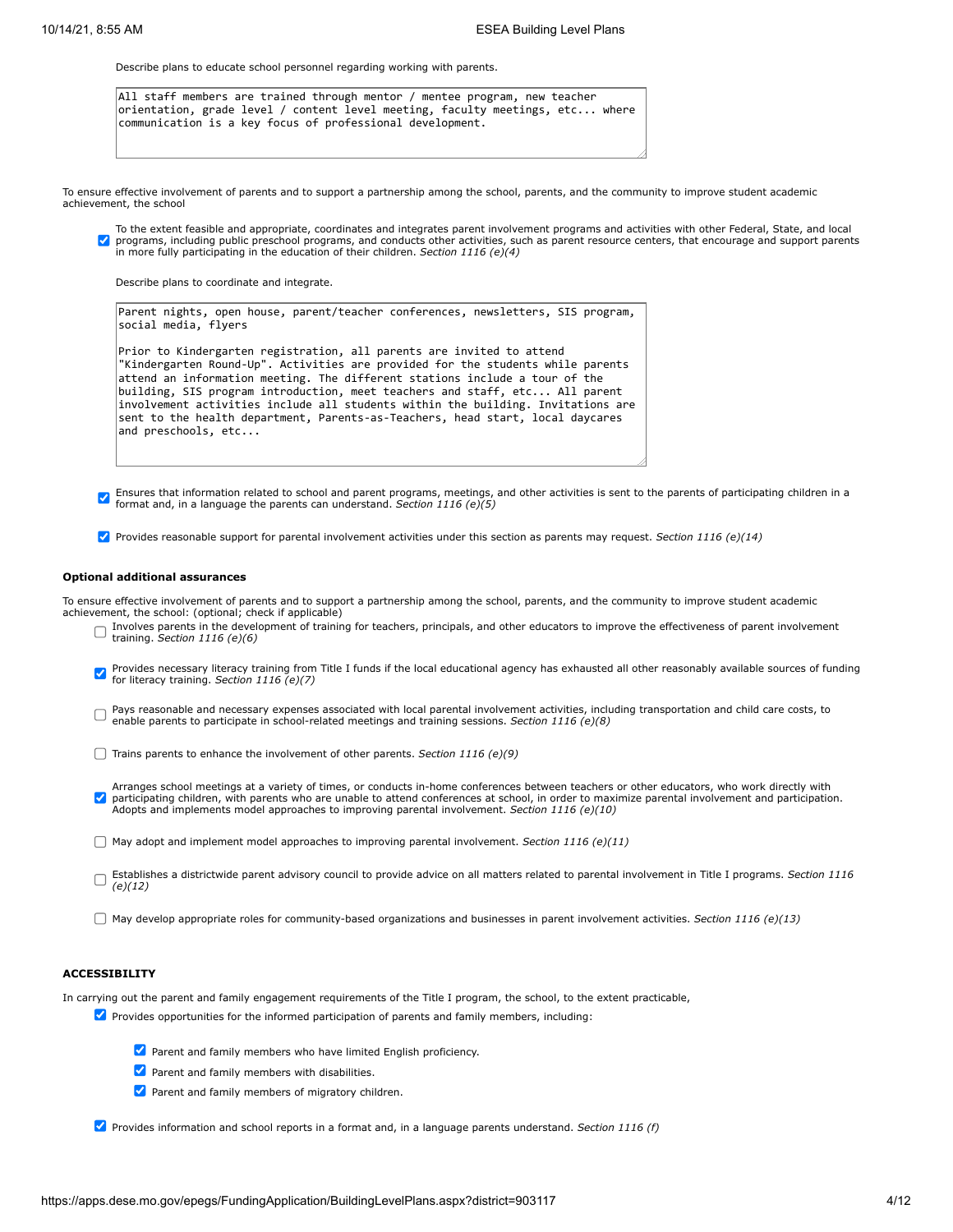Describe plans to educate school personnel regarding working with parents.

All staff members are trained through mentor / mentee program, new teacher orientation, grade level / content level meeting, faculty meetings, etc... where communication is a key focus of professional development.

To ensure effective involvement of parents and to support a partnership among the school, parents, and the community to improve student academic achievement, the school

To the extent feasible and appropriate, coordinates and integrates parent involvement programs and activities with other Federal, State, and local  $\overline{\mathcal{L}}$ programs, including public preschool programs, and conducts other activities, such as parent resource centers, that encourage and support parents<br>in more fully participating in the education of their children. *Section 111* 

Describe plans to coordinate and integrate.

| Parent nights, open house, parent/teacher conferences, newsletters, SIS program,<br>social media, flyers                                                 |
|----------------------------------------------------------------------------------------------------------------------------------------------------------|
| Prior to Kindergarten registration, all parents are invited to attend<br>"Kindergarten Round-Up". Activities are provided for the students while parents |
| attend an information meeting. The different stations include a tour of the                                                                              |
| building, SIS program introduction, meet teachers and staff, etc All parent                                                                              |
| involvement activities include all students within the building. Invitations are                                                                         |
| sent to the health department, Parents-as-Teachers, head start, local daycares                                                                           |

Ensures that information related to school and parent programs, meetings, and other activities is sent to the parents of participating children in a<br>format and in a language the parents can understand Castian 1116 (1)(5) format and, in a language the parents can understand. *Section 1116 (e)(5)*

Provides reasonable support for parental involvement activities under this section as parents may request. *Section 1116 (e)(14)*

#### **Optional additional assurances**

and preschools, etc...

To ensure effective involvement of parents and to support a partnership among the school, parents, and the community to improve student academic achievement, the school: (optional; check if applicable)

- Involves parents in the development of training for teachers, principals, and other educators to improve the effectiveness of parent involvement training. *Section 1116 (e)(6)*
- Provides necessary literacy training from Title I funds if the local educational agency has exhausted all other reasonably available sources of funding  $\blacktriangledown$ for literacy training. *Section 1116 (e)(7)*
- Pays reasonable and necessary expenses associated with local parental involvement activities, including transportation and child care costs, to  $\Box$ enable parents to participate in school-related meetings and training sessions. *Section 1116 (e)(8)*
- Trains parents to enhance the involvement of other parents. *Section 1116 (e)(9)*
- Arranges school meetings at a variety of times, or conducts in-home conferences between teachers or other educators, who work directly with<br>participating children, with parents who are unable to attend conferences at schoo Adopts and implements model approaches to improving parental involvement. *Section 1116 (e)(10)*
- May adopt and implement model approaches to improving parental involvement. *Section 1116 (e)(11)*
- Establishes a districtwide parent advisory council to provide advice on all matters related to parental involvement in Title I programs. *Section 1116 (e)(12)*
- May develop appropriate roles for community-based organizations and businesses in parent involvement activities. *Section 1116 (e)(13)*

### **ACCESSIBILITY**

In carrying out the parent and family engagement requirements of the Title I program, the school, to the extent practicable,

- $\blacktriangledown$  Provides opportunities for the informed participation of parents and family members, including:
	- Parent and family members who have limited English proficiency.
	- **Parent and family members with disabilities.**
	- $\blacktriangleright$  Parent and family members of migratory children.

Provides information and school reports in a format and, in a language parents understand. *Section 1116 (f)*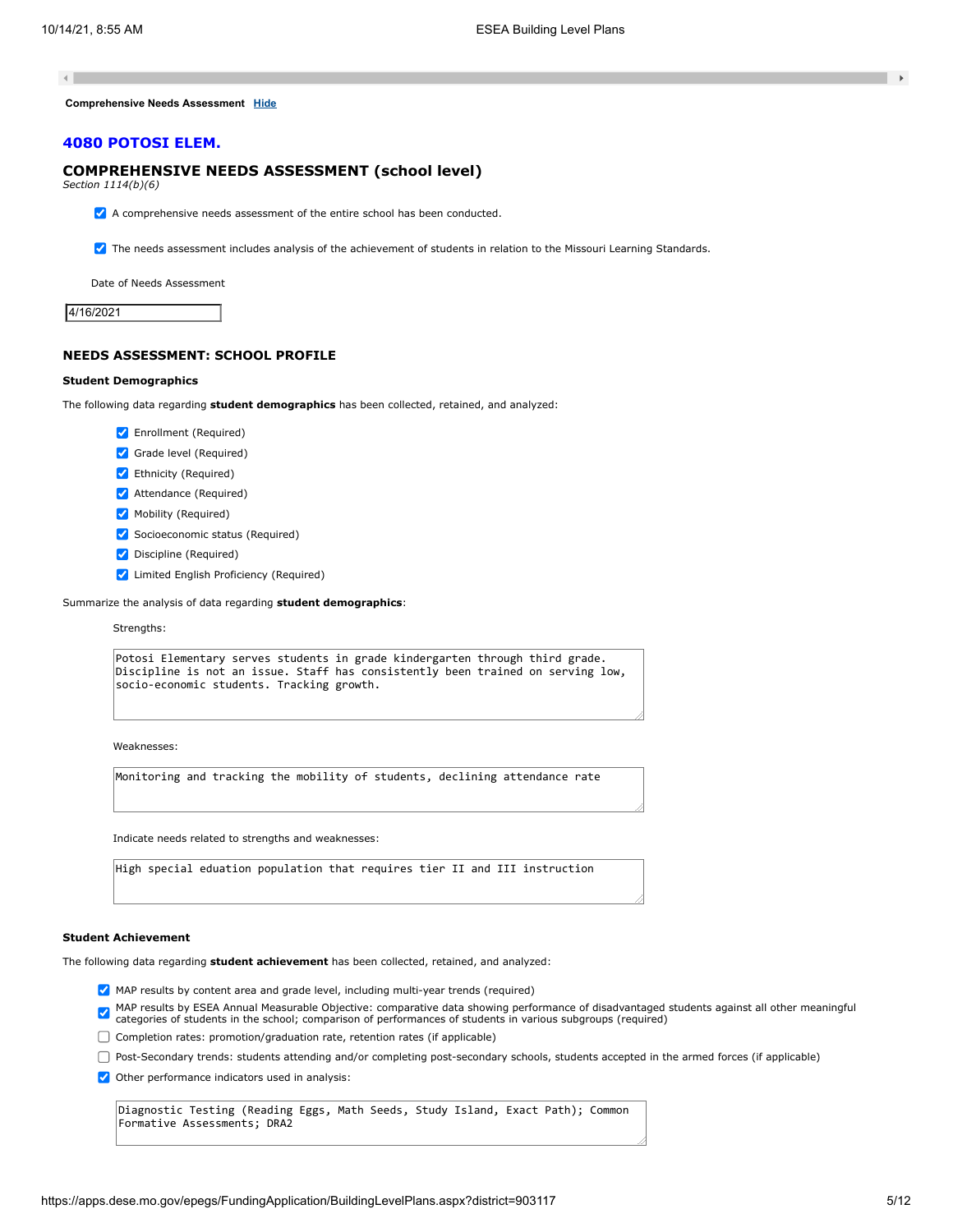$\left\| \cdot \right\|$ 

**Comprehensive Needs Assessment [Hide](javascript:__doPostBack()**

### **4080 POTOSI ELEM.**

## **COMPREHENSIVE NEEDS ASSESSMENT (school level)**

*Section 1114(b)(6)*

 $\blacktriangleright$  A comprehensive needs assessment of the entire school has been conducted.

**7** The needs assessment includes analysis of the achievement of students in relation to the Missouri Learning Standards.

Date of Needs Assessment

4/16/2021

## **NEEDS ASSESSMENT: SCHOOL PROFILE**

#### **Student Demographics**

The following data regarding **student demographics** has been collected, retained, and analyzed:

- Enrollment (Required)
- Grade level (Required)
- Ethnicity (Required)
- **Attendance (Required)**
- Mobility (Required)
- ◆ Socioeconomic status (Required)
- Discipline (Required)
- **V** Limited English Proficiency (Required)

Summarize the analysis of data regarding **student demographics**:

#### Strengths:

Potosi Elementary serves students in grade kindergarten through third grade. Discipline is not an issue. Staff has consistently been trained on serving low, socio-economic students. Tracking growth.

Weaknesses:

Monitoring and tracking the mobility of students, declining attendance rate

Indicate needs related to strengths and weaknesses:

High special eduation population that requires tier II and III instruction

### **Student Achievement**

The following data regarding **student achievement** has been collected, retained, and analyzed:

- MAP results by content area and grade level, including multi-year trends (required)
- MAP results by ESEA Annual Measurable Objective: comparative data showing performance of disadvantaged students against all other meaningful<br>categories of students in the school; comparison of performances of students in v

Completion rates: promotion/graduation rate, retention rates (if applicable)

Post-Secondary trends: students attending and/or completing post-secondary schools, students accepted in the armed forces (if applicable)

 $\blacktriangleright$  Other performance indicators used in analysis:

Diagnostic Testing (Reading Eggs, Math Seeds, Study Island, Exact Path); Common Formative Assessments; DRA2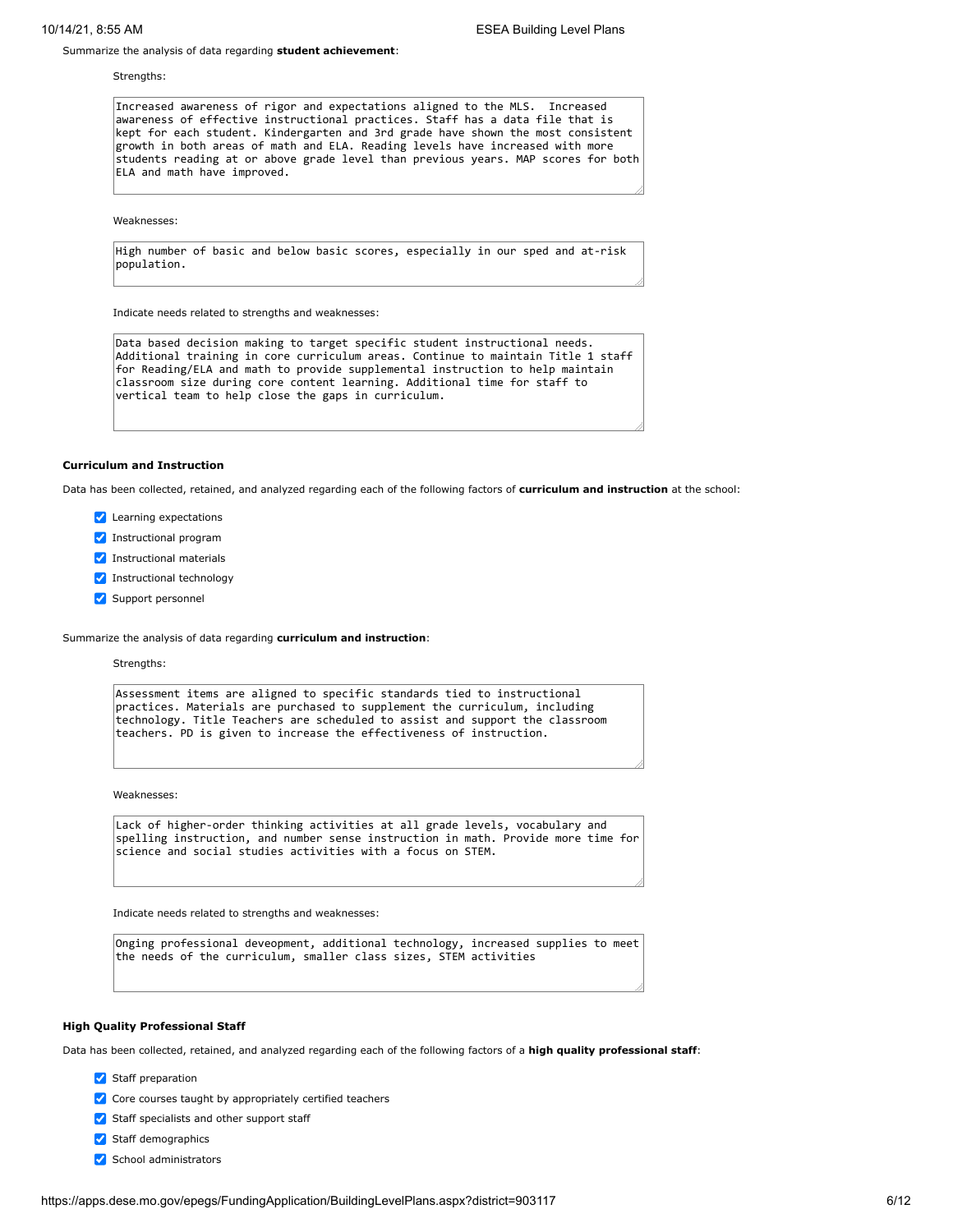Summarize the analysis of data regarding **student achievement**:

Strengths:

Increased awareness of rigor and expectations aligned to the MLS. Increased awareness of effective instructional practices. Staff has a data file that is kept for each student. Kindergarten and 3rd grade have shown the most consistent growth in both areas of math and ELA. Reading levels have increased with more students reading at or above grade level than previous years. MAP scores for both ELA and math have improved.

Weaknesses:

High number of basic and below basic scores, especially in our sped and at-risk population.

Indicate needs related to strengths and weaknesses:

Data based decision making to target specific student instructional needs. Additional training in core curriculum areas. Continue to maintain Title 1 staff for Reading/ELA and math to provide supplemental instruction to help maintain classroom size during core content learning. Additional time for staff to vertical team to help close the gaps in curriculum.

### **Curriculum and Instruction**

Data has been collected, retained, and analyzed regarding each of the following factors of **curriculum and instruction** at the school:

- **Z** Learning expectations
- Instructional program
- **V** Instructional materials
- Instructional technology
- Support personnel

Summarize the analysis of data regarding **curriculum and instruction**:

Strengths:

Assessment items are aligned to specific standards tied to instructional practices. Materials are purchased to supplement the curriculum, including technology. Title Teachers are scheduled to assist and support the classroom teachers. PD is given to increase the effectiveness of instruction.

Weaknesses:

Lack of higher-order thinking activities at all grade levels, vocabulary and spelling instruction, and number sense instruction in math. Provide more time for science and social studies activities with a focus on STEM.

Indicate needs related to strengths and weaknesses:

Onging professional deveopment, additional technology, increased supplies to meet the needs of the curriculum, smaller class sizes, STEM activities

### **High Quality Professional Staff**

Data has been collected, retained, and analyzed regarding each of the following factors of a **high quality professional staff**:

- Staff preparation
- Core courses taught by appropriately certified teachers
- Staff specialists and other support staff
- Staff demographics
- School administrators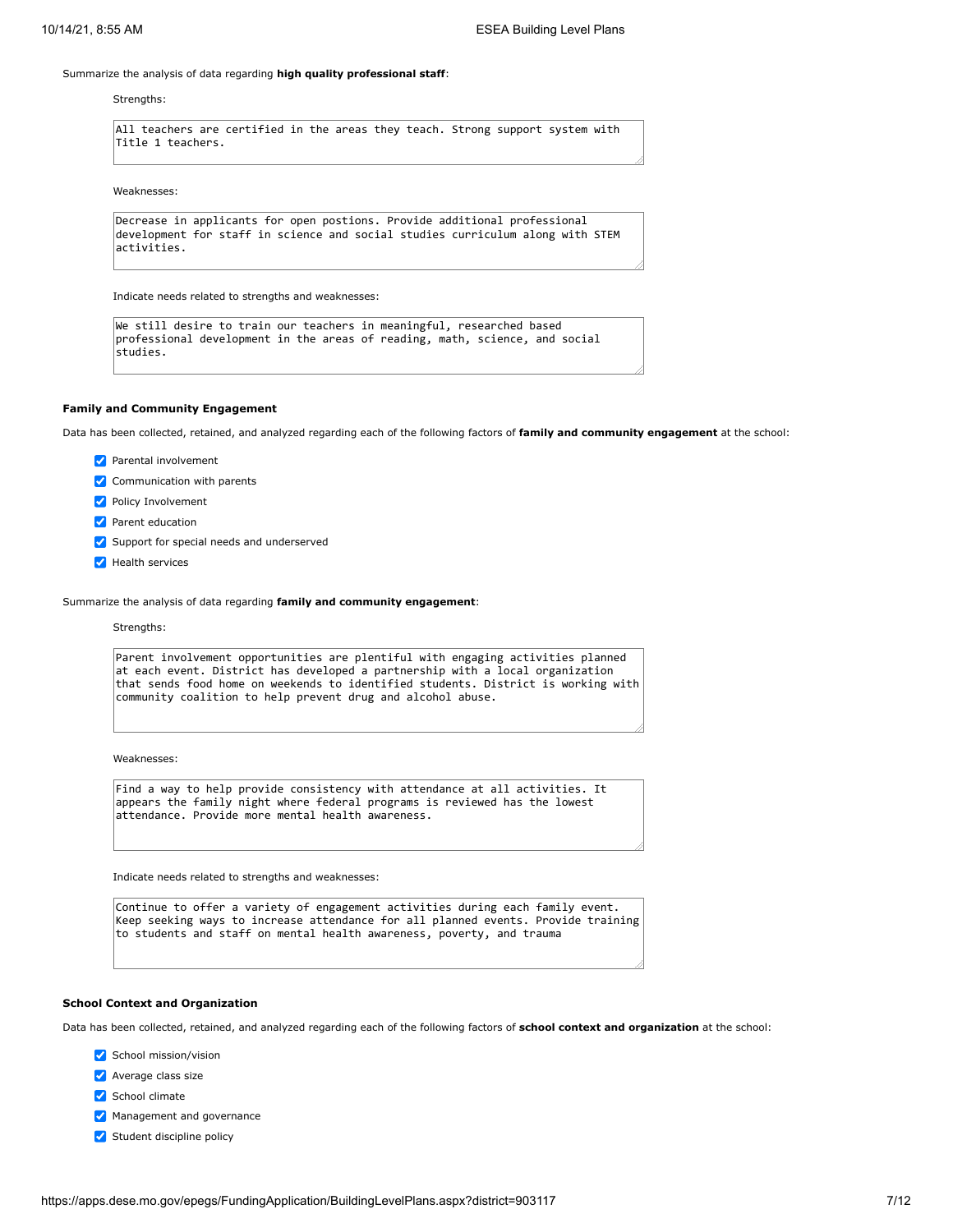### Summarize the analysis of data regarding **high quality professional staff**:

#### Strengths:

All teachers are certified in the areas they teach. Strong support system with Title 1 teachers.

#### Weaknesses:

```
Decrease in applicants for open postions. Provide additional professional
development for staff in science and social studies curriculum along with STEM
activities.
```
Indicate needs related to strengths and weaknesses:

```
We still desire to train our teachers in meaningful, researched based
professional development in the areas of reading, math, science, and social
studies.
```
### **Family and Community Engagement**

Data has been collected, retained, and analyzed regarding each of the following factors of **family and community engagement** at the school:

- **Parental involvement**
- Communication with parents
- **Policy Involvement**
- **Parent education**
- Support for special needs and underserved
- Health services

Summarize the analysis of data regarding **family and community engagement**:

#### Strengths:

Parent involvement opportunities are plentiful with engaging activities planned at each event. District has developed a partnership with a local organization that sends food home on weekends to identified students. District is working with community coalition to help prevent drug and alcohol abuse.

Weaknesses:

Find a way to help provide consistency with attendance at all activities. It appears the family night where federal programs is reviewed has the lowest attendance. Provide more mental health awareness.

Indicate needs related to strengths and weaknesses:

Continue to offer a variety of engagement activities during each family event. Keep seeking ways to increase attendance for all planned events. Provide training to students and staff on mental health awareness, poverty, and trauma

#### **School Context and Organization**

Data has been collected, retained, and analyzed regarding each of the following factors of **school context and organization** at the school:

- School mission/vision
- **Average class size**
- School climate
- Management and governance
- Student discipline policy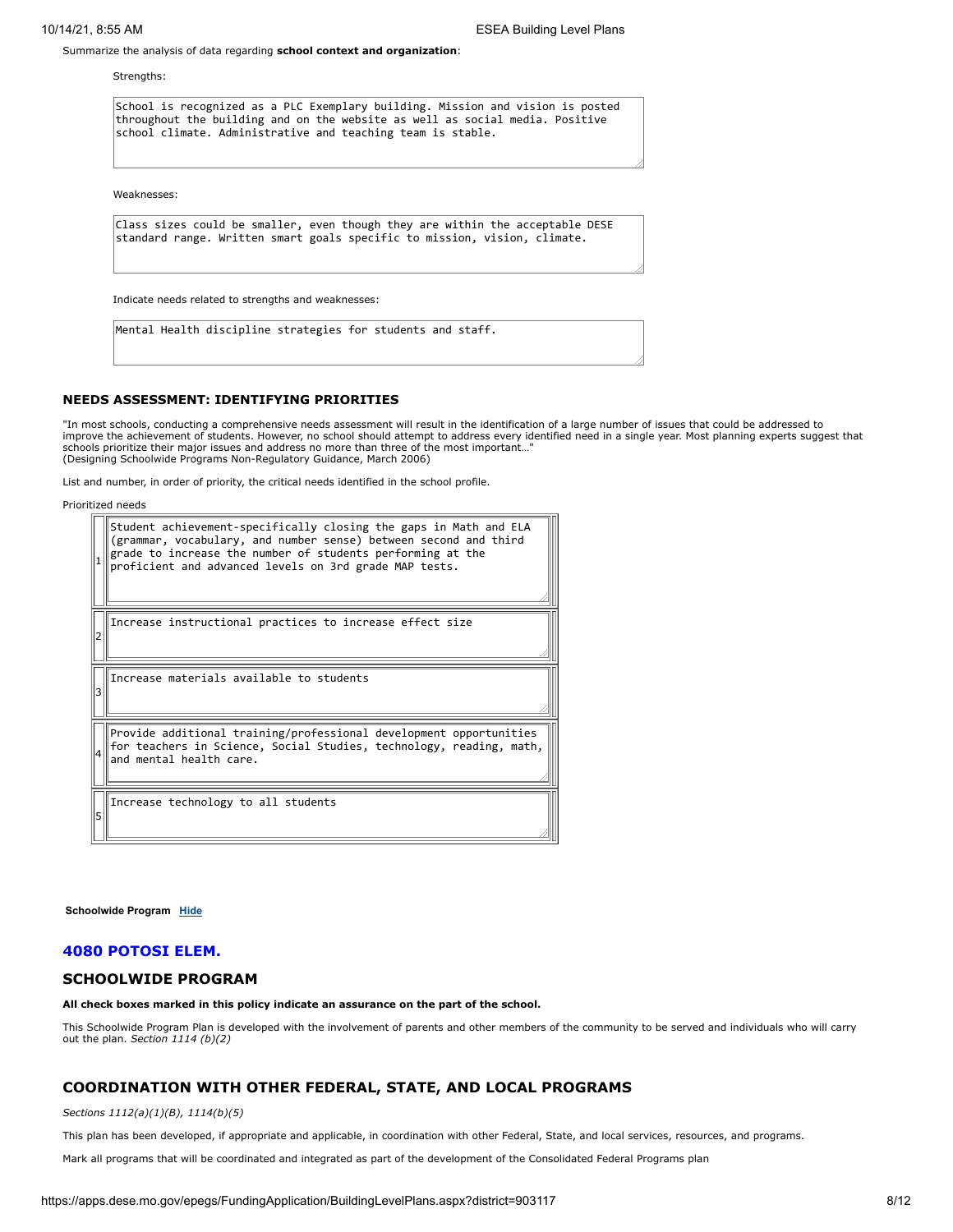Summarize the analysis of data regarding **school context and organization**:

Strengths:

School is recognized as a PLC Exemplary building. Mission and vision is posted throughout the building and on the website as well as social media. Positive school climate. Administrative and teaching team is stable.

Weaknesses:

Class sizes could be smaller, even though they are within the acceptable DESE standard range. Written smart goals specific to mission, vision, climate.

Indicate needs related to strengths and weaknesses:

Mental Health discipline strategies for students and staff.

### **NEEDS ASSESSMENT: IDENTIFYING PRIORITIES**

"In most schools, conducting a comprehensive needs assessment will result in the identification of a large number of issues that could be addressed to improve the achievement of students. However, no school should attempt to address every identified need in a single year. Most planning experts suggest that schools prioritize their major issues and address no more than three of the most important…" (Designing Schoolwide Programs Non-Regulatory Guidance, March 2006)

List and number, in order of priority, the critical needs identified in the school profile.

Prioritized needs

|   | Student achievement-specifically closing the gaps in Math and ELA<br>(grammar, vocabulary, and number sense) between second and third<br>grade to increase the number of students performing at the<br>proficient and advanced levels on 3rd grade MAP tests. |
|---|---------------------------------------------------------------------------------------------------------------------------------------------------------------------------------------------------------------------------------------------------------------|
|   | Increase instructional practices to increase effect size                                                                                                                                                                                                      |
|   | Increase materials available to students                                                                                                                                                                                                                      |
|   | Provide additional training/professional development opportunities<br>for teachers in Science, Social Studies, technology, reading, math,<br>and mental health care.                                                                                          |
| 5 | Increase technology to all students                                                                                                                                                                                                                           |

**Schoolwide Program [Hide](javascript:__doPostBack()**

## **4080 POTOSI ELEM.**

### **SCHOOLWIDE PROGRAM**

**All check boxes marked in this policy indicate an assurance on the part of the school.**

This Schoolwide Program Plan is developed with the involvement of parents and other members of the community to be served and individuals who will carry out the plan. *Section 1114 (b)(2)*

## **COORDINATION WITH OTHER FEDERAL, STATE, AND LOCAL PROGRAMS**

*Sections 1112(a)(1)(B), 1114(b)(5)*

This plan has been developed, if appropriate and applicable, in coordination with other Federal, State, and local services, resources, and programs.

Mark all programs that will be coordinated and integrated as part of the development of the Consolidated Federal Programs plan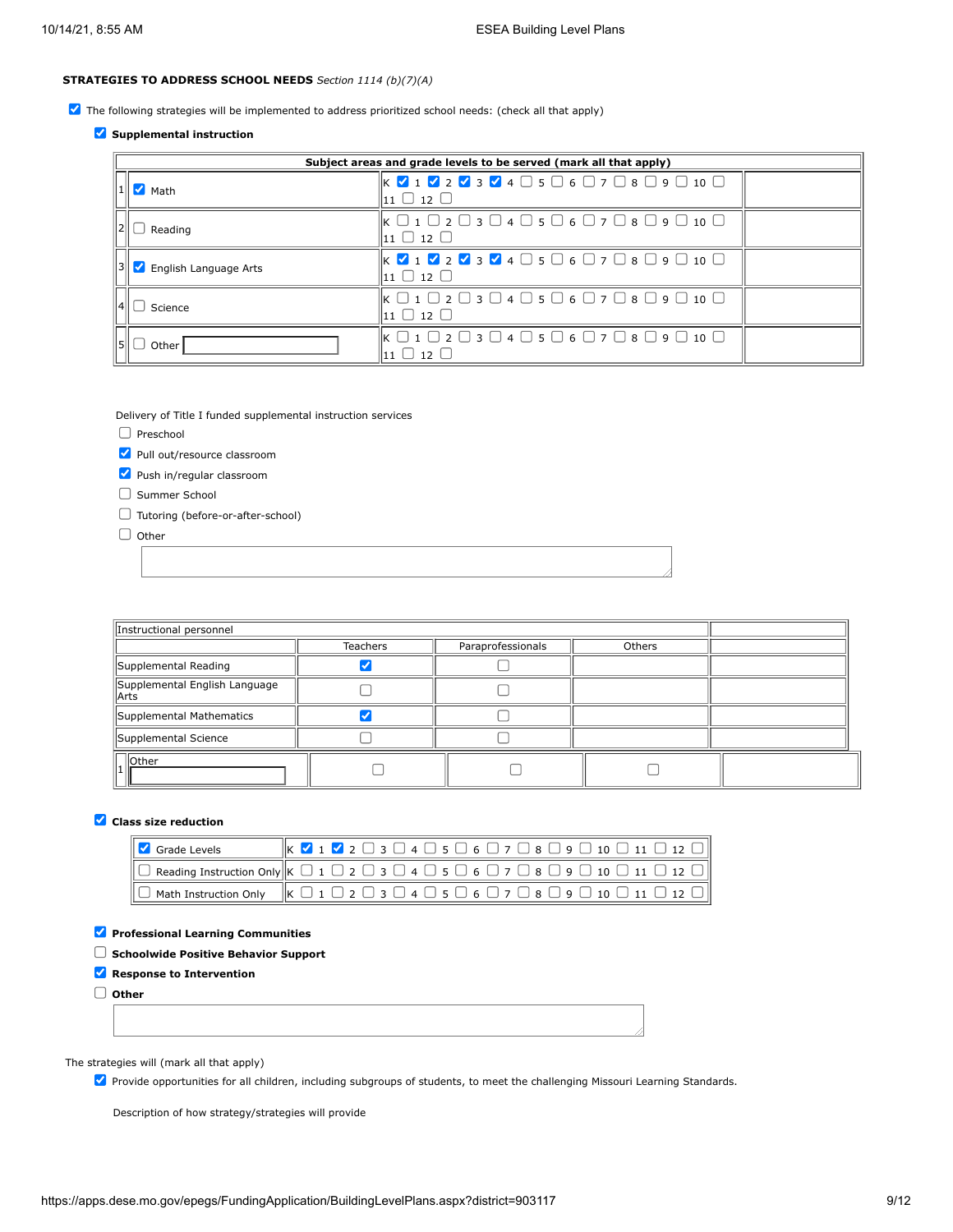## **STRATEGIES TO ADDRESS SCHOOL NEEDS** *Section 1114 (b)(7)(A)*

The following strategies will be implemented to address prioritized school needs: (check all that apply)

## **Supplemental instruction**

|                       | Subject areas and grade levels to be served (mark all that apply)                                                                                                                                                                        |  |
|-----------------------|------------------------------------------------------------------------------------------------------------------------------------------------------------------------------------------------------------------------------------------|--|
| Math                  | $\mathbb{K} \times \mathbf{1} \times \mathbf{2} \times \mathbf{3} \times \mathbf{4} \times \mathbf{5} \times \mathbf{6} \times \mathbf{7} \times \mathbf{8} \times \mathbf{9} \times \mathbf{10} \times \mathbf{1}$<br>$11 \cup 12 \cup$ |  |
| Reading               | $\mathbb{K} \ \Box$ 1 $\Box$ 2 $\Box$ 3 $\Box$ 4 $\Box$ 5 $\Box$ 6 $\Box$ 7 $\Box$ 8 $\Box$ 9 $\Box$ 10 $\Box$<br>$\mathbf{11} \mathbf{0} \mathbf{12} \mathbf{0}$                                                                        |  |
| English Language Arts | $\mathbb{K}$ $\mathbb{V}$ 1 $\mathbb{V}$ 2 $\mathbb{V}$ 3 $\mathbb{V}$ 4 $\Box$ 5 $\Box$ 6 $\Box$ 7 $\Box$ 8 $\Box$ 9 $\Box$ 10 $\Box$<br>$11 \cup 12 \cup$                                                                              |  |
| Science               | $\mathbb{K} \ \Box$ 1 $\Box$ 2 $\Box$ 3 $\Box$ 4 $\Box$ 5 $\Box$ 6 $\Box$ 7 $\Box$ 8 $\Box$ 9 $\Box$ 10 $\Box$<br>$111 \square 12 \square$                                                                                               |  |
| Other                 | $\mathbb{K} \ \Box$ 1 $\Box$ 2 $\Box$ 3 $\Box$ 4 $\Box$ 5 $\Box$ 6 $\Box$ 7 $\Box$ 8 $\Box$ 9 $\Box$ 10 $\Box$<br>$11 \cup 12 \cup$                                                                                                      |  |

Delivery of Title I funded supplemental instruction services

- $\Box$  Preschool
- Pull out/resource classroom
- Push in/regular classroom
- $\Box$  Summer School
- Tutoring (before-or-after-school)

 $\Box$  Other

| Instructional personnel                 |                 |                   |        |  |
|-----------------------------------------|-----------------|-------------------|--------|--|
|                                         | <b>Teachers</b> | Paraprofessionals | Others |  |
| Supplemental Reading                    |                 |                   |        |  |
| Supplemental English Language<br>  Arts |                 |                   |        |  |
| Supplemental Mathematics                |                 |                   |        |  |
| Supplemental Science                    |                 |                   |        |  |
| <b>Other</b>                            |                 |                   |        |  |

## **Class size reduction**

| Grade Levels                                                                                                                                                            |  |  |  |  |  |  |  |  |  |  | $\ $ K $\vee$ 1 $\vee$ 2 $\Box$ 3 $\Box$ 4 $\Box$ 5 $\Box$ 6 $\Box$ 7 $\Box$ 8 $\Box$ 9 $\Box$ 10 $\Box$ 11 $\Box$ 12 $\Box$ |
|-------------------------------------------------------------------------------------------------------------------------------------------------------------------------|--|--|--|--|--|--|--|--|--|--|------------------------------------------------------------------------------------------------------------------------------|
| $\Box$ Reading Instruction Only $\Vert$ K $\Box$ 1 $\Box$ 2 $\Box$ 3 $\Box$ 4 $\Box$ 5 $\Box$ 6 $\Box$ 7 $\Box$ 8 $\Box$ 9 $\Box$ 10 $\Box$ 11 $\Box$ 12 $\Box$ $\Vert$ |  |  |  |  |  |  |  |  |  |  |                                                                                                                              |
| $\Box$ Math Instruction Only $\ K \Box 1 \Box 2 \Box 3 \Box 4 \Box 5 \Box 6 \Box 7 \Box 8 \Box 9 \Box 10 \Box 11 \Box 12 \Box \ $                                       |  |  |  |  |  |  |  |  |  |  |                                                                                                                              |

## **Professional Learning Communities**

**Schoolwide Positive Behavior Support**

**K** Response to Intervention

**Other**

## The strategies will (mark all that apply)

Provide opportunities for all children, including subgroups of students, to meet the challenging Missouri Learning Standards.

Description of how strategy/strategies will provide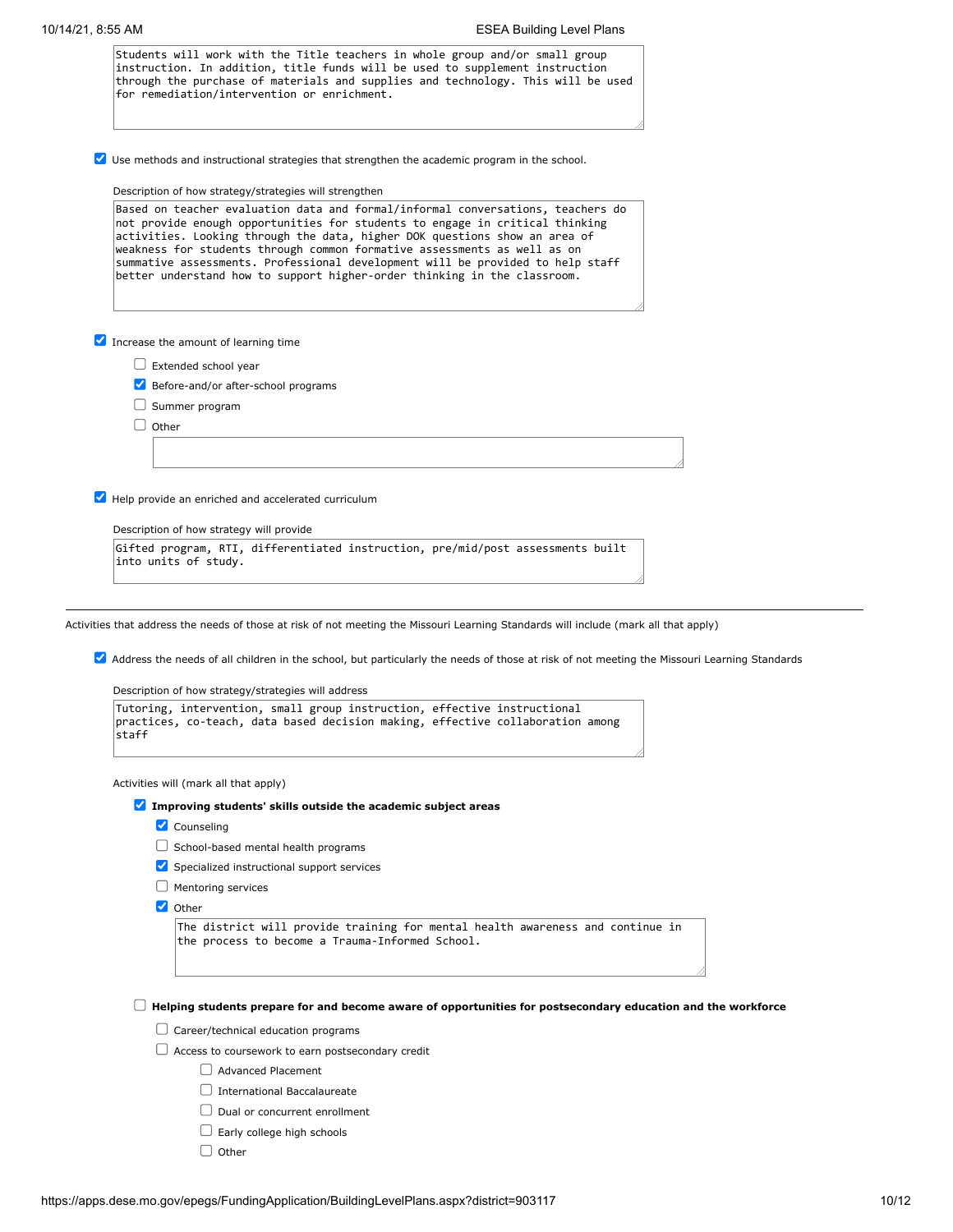| Students will work with the Title teachers in whole group and/or small group<br>instruction. In addition, title funds will be used to supplement instruction<br>through the purchase of materials and supplies and technology. This will be used<br>for remediation/intervention or enrichment.                                                                                                                                                                                         |
|-----------------------------------------------------------------------------------------------------------------------------------------------------------------------------------------------------------------------------------------------------------------------------------------------------------------------------------------------------------------------------------------------------------------------------------------------------------------------------------------|
| $\vee$ Use methods and instructional strategies that strengthen the academic program in the school.                                                                                                                                                                                                                                                                                                                                                                                     |
| Description of how strategy/strategies will strengthen                                                                                                                                                                                                                                                                                                                                                                                                                                  |
| Based on teacher evaluation data and formal/informal conversations, teachers do<br>not provide enough opportunities for students to engage in critical thinking<br>activities. Looking through the data, higher DOK questions show an area of<br>weakness for students through common formative assessments as well as on<br>summative assessments. Professional development will be provided to help staff<br>better understand how to support higher-order thinking in the classroom. |
| Increase the amount of learning time                                                                                                                                                                                                                                                                                                                                                                                                                                                    |
|                                                                                                                                                                                                                                                                                                                                                                                                                                                                                         |
| $\Box$ Extended school year<br>Before-and/or after-school programs                                                                                                                                                                                                                                                                                                                                                                                                                      |
| $\Box$ Summer program                                                                                                                                                                                                                                                                                                                                                                                                                                                                   |
| $\Box$ Other                                                                                                                                                                                                                                                                                                                                                                                                                                                                            |
|                                                                                                                                                                                                                                                                                                                                                                                                                                                                                         |
|                                                                                                                                                                                                                                                                                                                                                                                                                                                                                         |
| Help provide an enriched and accelerated curriculum                                                                                                                                                                                                                                                                                                                                                                                                                                     |
| Description of how strategy will provide                                                                                                                                                                                                                                                                                                                                                                                                                                                |
| Gifted program, RTI, differentiated instruction, pre/mid/post assessments built                                                                                                                                                                                                                                                                                                                                                                                                         |
| into units of study.                                                                                                                                                                                                                                                                                                                                                                                                                                                                    |
|                                                                                                                                                                                                                                                                                                                                                                                                                                                                                         |
|                                                                                                                                                                                                                                                                                                                                                                                                                                                                                         |
| Activities that address the needs of those at risk of not meeting the Missouri Learning Standards will include (mark all that apply)                                                                                                                                                                                                                                                                                                                                                    |
| Address the needs of all children in the school, but particularly the needs of those at risk of not meeting the Missouri Learning Standards                                                                                                                                                                                                                                                                                                                                             |
|                                                                                                                                                                                                                                                                                                                                                                                                                                                                                         |
| Description of how strategy/strategies will address                                                                                                                                                                                                                                                                                                                                                                                                                                     |
| Tutoring, intervention, small group instruction, effective instructional<br>practices, co-teach, data based decision making, effective collaboration among<br>sta††                                                                                                                                                                                                                                                                                                                     |
| Activities will (mark all that apply)                                                                                                                                                                                                                                                                                                                                                                                                                                                   |
| Improving students' skills outside the academic subject areas                                                                                                                                                                                                                                                                                                                                                                                                                           |
| Counseling                                                                                                                                                                                                                                                                                                                                                                                                                                                                              |
| $\Box$ School-based mental health programs                                                                                                                                                                                                                                                                                                                                                                                                                                              |
| Specialized instructional support services                                                                                                                                                                                                                                                                                                                                                                                                                                              |
| $\Box$ Mentoring services                                                                                                                                                                                                                                                                                                                                                                                                                                                               |
| $\vee$ Other                                                                                                                                                                                                                                                                                                                                                                                                                                                                            |
| The district will provide training for mental health awareness and continue in                                                                                                                                                                                                                                                                                                                                                                                                          |
| the process to become a Trauma-Informed School.                                                                                                                                                                                                                                                                                                                                                                                                                                         |
|                                                                                                                                                                                                                                                                                                                                                                                                                                                                                         |
| Helping students prepare for and become aware of opportunities for postsecondary education and the workforce                                                                                                                                                                                                                                                                                                                                                                            |
| $\Box$ Career/technical education programs                                                                                                                                                                                                                                                                                                                                                                                                                                              |
| $\Box$ Access to coursework to earn postsecondary credit                                                                                                                                                                                                                                                                                                                                                                                                                                |
|                                                                                                                                                                                                                                                                                                                                                                                                                                                                                         |
|                                                                                                                                                                                                                                                                                                                                                                                                                                                                                         |
| <b>Advanced Placement</b>                                                                                                                                                                                                                                                                                                                                                                                                                                                               |
| <b>International Baccalaureate</b>                                                                                                                                                                                                                                                                                                                                                                                                                                                      |
| $\Box$ Dual or concurrent enrollment<br>$\Box$ Early college high schools                                                                                                                                                                                                                                                                                                                                                                                                               |

 $\Box$  Other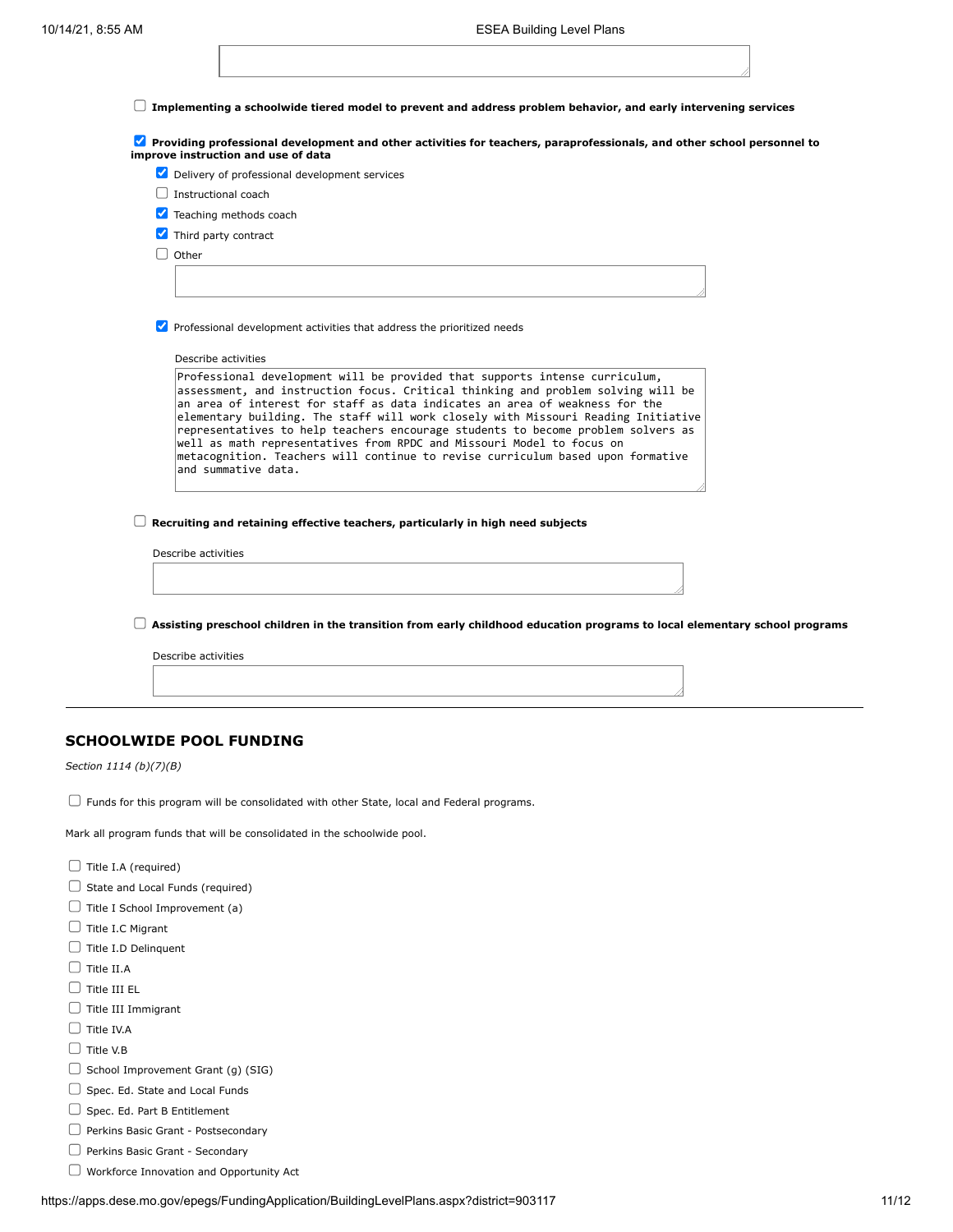**Implementing a schoolwide tiered model to prevent and address problem behavior, and early intervening services**

**Providing professional development and other activities for teachers, paraprofessionals, and other school personnel to improve instruction and use of data**

|  |  |  | Delivery of professional development services |  |
|--|--|--|-----------------------------------------------|--|
|--|--|--|-----------------------------------------------|--|

- $\Box$  Instructional coach
- **V** Teaching methods coach
- Third party contract
- $\Box$  Other

 $\triangledown$  Professional development activities that address the prioritized needs

Describe activities

| Professional development will be provided that supports intense curriculum,<br>assessment, and instruction focus. Critical thinking and problem solving will be       |
|-----------------------------------------------------------------------------------------------------------------------------------------------------------------------|
| an area of interest for staff as data indicates an area of weakness for the                                                                                           |
| elementary building. The staff will work closely with Missouri Reading Initiative<br>representatives to help teachers encourage students to become problem solvers as |
| well as math representatives from RPDC and Missouri Model to focus on<br>metacognition. Teachers will continue to revise curriculum based upon formative              |
| and summative data.                                                                                                                                                   |

**Recruiting and retaining effective teachers, particularly in high need subjects**

Describe activities

**Assisting preschool children in the transition from early childhood education programs to local elementary school programs**

Describe activities

## **SCHOOLWIDE POOL FUNDING**

*Section 1114 (b)(7)(B)*

 $\Box$  Funds for this program will be consolidated with other State, local and Federal programs.

Mark all program funds that will be consolidated in the schoolwide pool.

- $\Box$  Title I.A (required)
- $\Box$  State and Local Funds (required)
- $\Box$  Title I School Improvement (a)
- $\Box$  Title I.C Migrant
- $\Box$  Title I.D Delinquent
- $\Box$  Title II.A
- $\Box$  Title III EL
- $\Box$  Title III Immigrant
- $\Box$  Title IV.A
- $\Box$  Title V.B.
- $\Box$  School Improvement Grant (g) (SIG)
- $\Box$  Spec. Ed. State and Local Funds
- $\Box$  Spec. Ed. Part B Entitlement
- Perkins Basic Grant Postsecondary
- Perkins Basic Grant Secondary
- Workforce Innovation and Opportunity Act